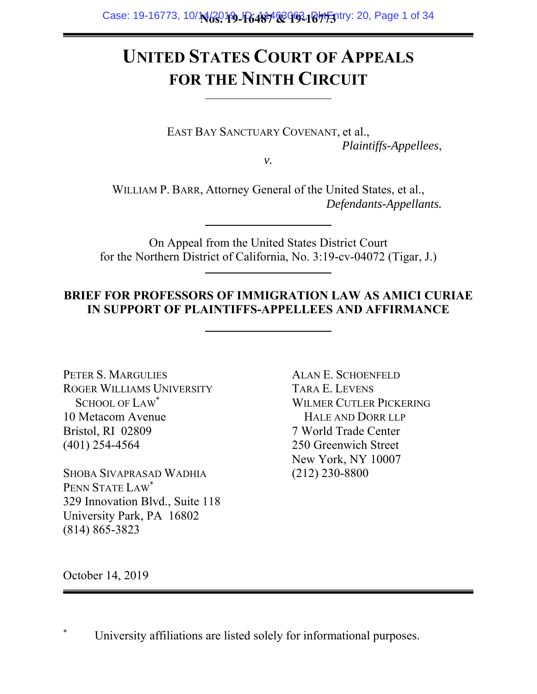## **UNITED STATES COURT OF APPEALS FOR THE NINTH CIRCUIT**

EAST BAY SANCTUARY COVENANT, et al., *Plaintiffs-Appellees*,

*v.* 

WILLIAM P. BARR, Attorney General of the United States, et al., *Defendants-Appellants.* 

On Appeal from the United States District Court for the Northern District of California, No. 3:19-cv-04072 (Tigar, J.)

## **BRIEF FOR PROFESSORS OF IMMIGRATION LAW AS AMICI CURIAE IN SUPPORT OF PLAINTIFFS-APPELLEES AND AFFIRMANCE**

PETER S. MARGULIES ROGER WILLIAMS UNIVERSITY SCHOOL OF LAW<sup>\*</sup> 10 Metacom Avenue Bristol, RI 02809 (401) 254-4564

SHOBA SIVAPRASAD WADHIA PENN STATE LAW\* 329 Innovation Blvd., Suite 118 University Park, PA 16802 (814) 865-3823

ALAN E. SCHOENFELD TARA E. LEVENS WILMER CUTLER PICKERING HALE AND DORR LLP 7 World Trade Center 250 Greenwich Street New York, NY 10007 (212) 230-8800

October 14, 2019

University affiliations are listed solely for informational purposes.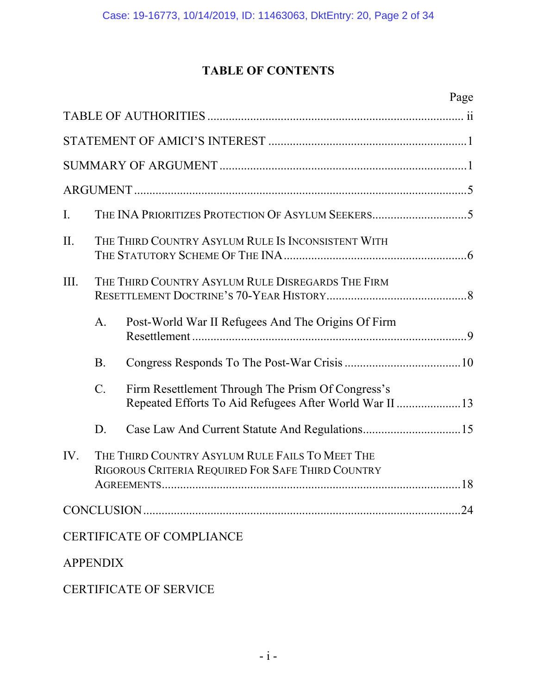## **TABLE OF CONTENTS**

|                |                 | Page                                                                                                                     |  |  |
|----------------|-----------------|--------------------------------------------------------------------------------------------------------------------------|--|--|
|                |                 |                                                                                                                          |  |  |
|                |                 |                                                                                                                          |  |  |
|                |                 |                                                                                                                          |  |  |
|                |                 |                                                                                                                          |  |  |
| $\mathbf{I}$ . |                 |                                                                                                                          |  |  |
| II.            |                 | THE THIRD COUNTRY ASYLUM RULE IS INCONSISTENT WITH                                                                       |  |  |
| III.           |                 | THE THIRD COUNTRY ASYLUM RULE DISREGARDS THE FIRM                                                                        |  |  |
|                | A.              | Post-World War II Refugees And The Origins Of Firm                                                                       |  |  |
|                | <b>B.</b>       |                                                                                                                          |  |  |
|                | $\mathcal{C}$ . | Firm Resettlement Through The Prism Of Congress's<br>Repeated Efforts To Aid Refugees After World War II 13              |  |  |
|                | D.              |                                                                                                                          |  |  |
| IV.            |                 | THE THIRD COUNTRY ASYLUM RULE FAILS TO MEET THE<br>RIGOROUS CRITERIA REQUIRED FOR SAFE THIRD COUNTRY<br>18<br>AGREEMENTS |  |  |
|                |                 |                                                                                                                          |  |  |
|                |                 | <b>CERTIFICATE OF COMPLIANCE</b>                                                                                         |  |  |
|                | <b>APPENDIX</b> |                                                                                                                          |  |  |
|                |                 |                                                                                                                          |  |  |

CERTIFICATE OF SERVICE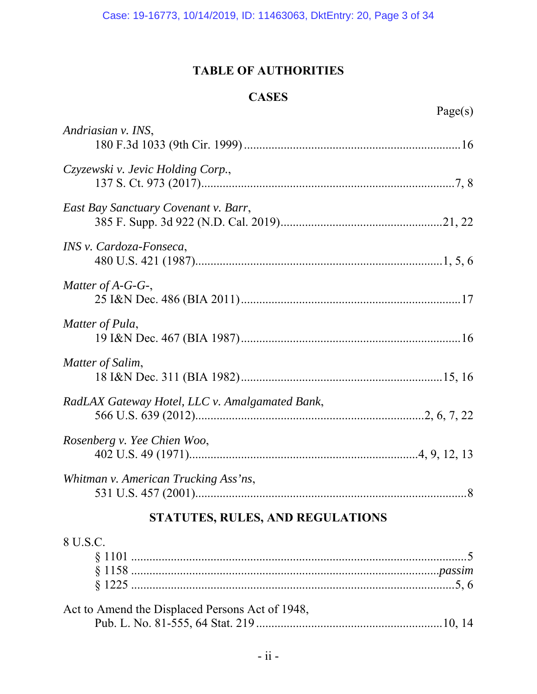## **TABLE OF AUTHORITIES**

## **CASES**

| ī.<br>í |  |
|---------|--|
| PU 1    |  |

| Andriasian v. INS,                             |
|------------------------------------------------|
| Czyzewski v. Jevic Holding Corp.,              |
| East Bay Sanctuary Covenant v. Barr,           |
| INS v. Cardoza-Fonseca,                        |
| Matter of A-G-G-,                              |
| Matter of Pula,                                |
| Matter of Salim,                               |
| RadLAX Gateway Hotel, LLC v. Amalgamated Bank, |
| Rosenberg v. Yee Chien Woo,                    |
| Whitman v. American Trucking Ass'ns,           |
| STATUTES, RULES, AND REGULATIONS               |

## 8 U.S.C.

| Act to Amend the Displaced Persons Act of 1948, |  |
|-------------------------------------------------|--|
|                                                 |  |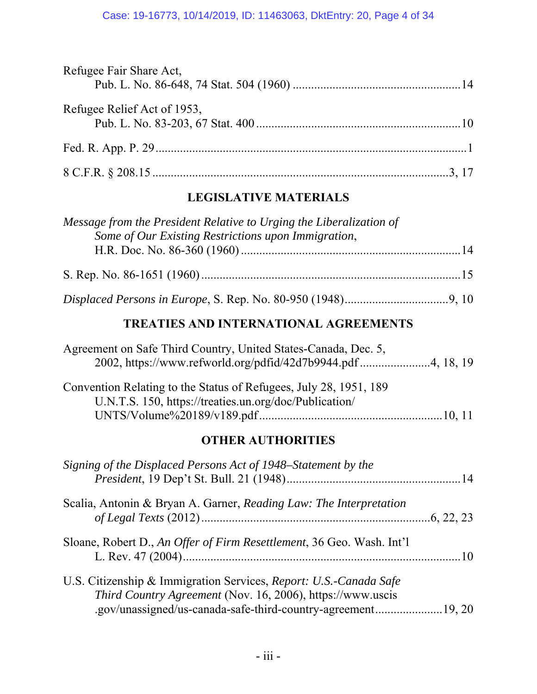| Refugee Fair Share Act,     |  |
|-----------------------------|--|
|                             |  |
| Refugee Relief Act of 1953, |  |
|                             |  |
|                             |  |
|                             |  |

## **LEGISLATIVE MATERIALS**

| Message from the President Relative to Urging the Liberalization of<br>Some of Our Existing Restrictions upon Immigration, |  |
|----------------------------------------------------------------------------------------------------------------------------|--|
|                                                                                                                            |  |
|                                                                                                                            |  |
|                                                                                                                            |  |
| <b>TREATIES AND INTERNATIONAL AGREEMENTS</b>                                                                               |  |

| Agreement on Safe Third Country, United States-Canada, Dec. 5,    |  |
|-------------------------------------------------------------------|--|
| 2002, https://www.refworld.org/pdfid/42d7b9944.pdf4, 18, 19       |  |
|                                                                   |  |
| Convention Relating to the Status of Refugees, July 28, 1951, 189 |  |
| U.N.T.S. 150, https://treaties.un.org/doc/Publication/            |  |
|                                                                   |  |

## **OTHER AUTHORITIES**

| Signing of the Displaced Persons Act of 1948–Statement by the                                                                   |  |
|---------------------------------------------------------------------------------------------------------------------------------|--|
| Scalia, Antonin & Bryan A. Garner, Reading Law: The Interpretation                                                              |  |
|                                                                                                                                 |  |
| Sloane, Robert D., An Offer of Firm Resettlement, 36 Geo. Wash. Int'l                                                           |  |
| U.S. Citizenship & Immigration Services, Report: U.S.-Canada Safe<br>Third Country Agreement (Nov. 16, 2006), https://www.uscis |  |
| .gov/unassigned/us-canada-safe-third-country-agreement19, 20                                                                    |  |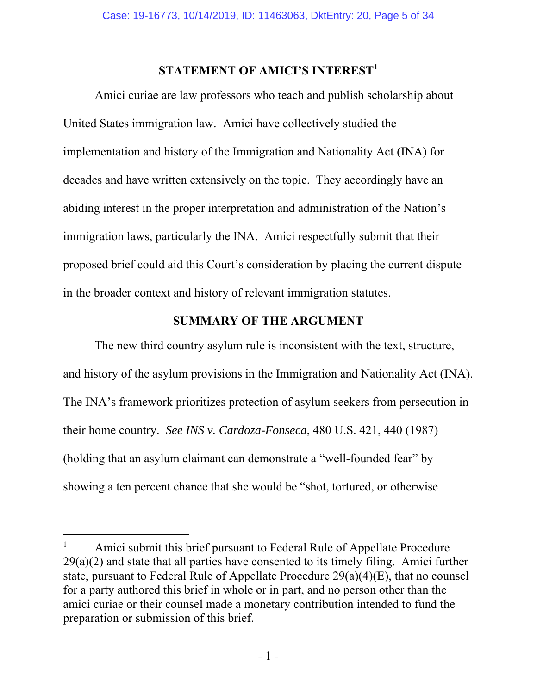## **STATEMENT OF AMICI'S INTEREST<sup>1</sup>**

Amici curiae are law professors who teach and publish scholarship about United States immigration law. Amici have collectively studied the implementation and history of the Immigration and Nationality Act (INA) for decades and have written extensively on the topic. They accordingly have an abiding interest in the proper interpretation and administration of the Nation's immigration laws, particularly the INA. Amici respectfully submit that their proposed brief could aid this Court's consideration by placing the current dispute in the broader context and history of relevant immigration statutes.

#### **SUMMARY OF THE ARGUMENT**

The new third country asylum rule is inconsistent with the text, structure, and history of the asylum provisions in the Immigration and Nationality Act (INA). The INA's framework prioritizes protection of asylum seekers from persecution in their home country. *See INS v. Cardoza-Fonseca*, 480 U.S. 421, 440 (1987) (holding that an asylum claimant can demonstrate a "well-founded fear" by showing a ten percent chance that she would be "shot, tortured, or otherwise

 $\overline{a}$ 

<sup>1</sup> Amici submit this brief pursuant to Federal Rule of Appellate Procedure  $29(a)(2)$  and state that all parties have consented to its timely filing. Amici further state, pursuant to Federal Rule of Appellate Procedure 29(a)(4)(E), that no counsel for a party authored this brief in whole or in part, and no person other than the amici curiae or their counsel made a monetary contribution intended to fund the preparation or submission of this brief.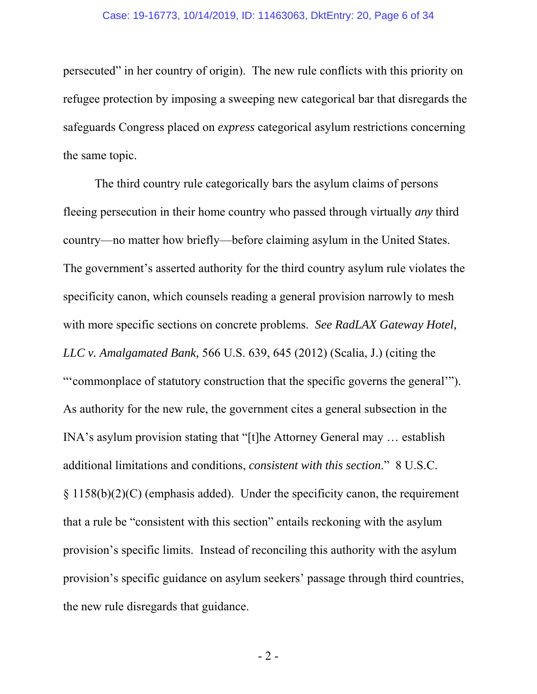persecuted" in her country of origin). The new rule conflicts with this priority on refugee protection by imposing a sweeping new categorical bar that disregards the safeguards Congress placed on *express* categorical asylum restrictions concerning the same topic.

The third country rule categorically bars the asylum claims of persons fleeing persecution in their home country who passed through virtually *any* third country—no matter how briefly—before claiming asylum in the United States. The government's asserted authority for the third country asylum rule violates the specificity canon, which counsels reading a general provision narrowly to mesh with more specific sections on concrete problems. *See RadLAX Gateway Hotel, LLC v. Amalgamated Bank,* 566 U.S. 639, 645 (2012) (Scalia, J.) (citing the "'commonplace of statutory construction that the specific governs the general'"). As authority for the new rule, the government cites a general subsection in the INA's asylum provision stating that "[t]he Attorney General may … establish additional limitations and conditions, *consistent with this section*." 8 U.S.C. § 1158(b)(2)(C) (emphasis added). Under the specificity canon, the requirement that a rule be "consistent with this section" entails reckoning with the asylum provision's specific limits. Instead of reconciling this authority with the asylum provision's specific guidance on asylum seekers' passage through third countries, the new rule disregards that guidance.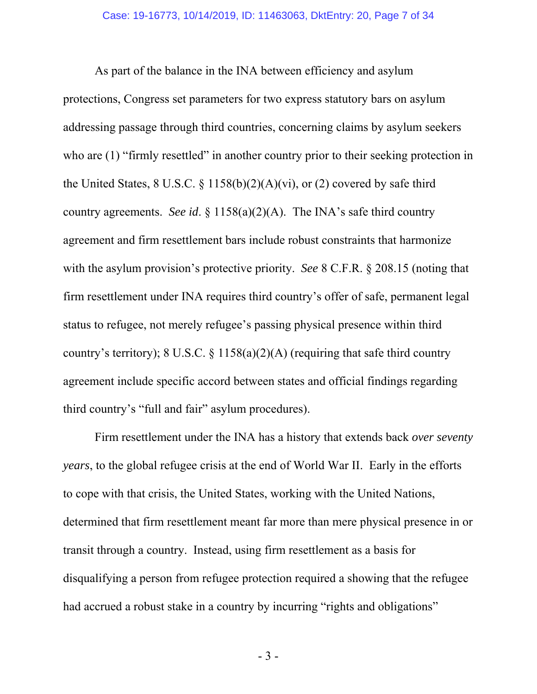As part of the balance in the INA between efficiency and asylum protections, Congress set parameters for two express statutory bars on asylum addressing passage through third countries, concerning claims by asylum seekers who are (1) "firmly resettled" in another country prior to their seeking protection in the United States,  $8 \text{ U.S.C. } \frac{6}{7} \frac{1158(b)(2)(A)(vi)}{2}$ , or (2) covered by safe third country agreements. *See id*. § 1158(a)(2)(A). The INA's safe third country agreement and firm resettlement bars include robust constraints that harmonize with the asylum provision's protective priority. *See* 8 C.F.R. § 208.15 (noting that firm resettlement under INA requires third country's offer of safe, permanent legal status to refugee, not merely refugee's passing physical presence within third country's territory); 8 U.S.C.  $\S$  1158(a)(2)(A) (requiring that safe third country agreement include specific accord between states and official findings regarding third country's "full and fair" asylum procedures).

Firm resettlement under the INA has a history that extends back *over seventy years*, to the global refugee crisis at the end of World War II. Early in the efforts to cope with that crisis, the United States, working with the United Nations, determined that firm resettlement meant far more than mere physical presence in or transit through a country. Instead, using firm resettlement as a basis for disqualifying a person from refugee protection required a showing that the refugee had accrued a robust stake in a country by incurring "rights and obligations"

- 3 -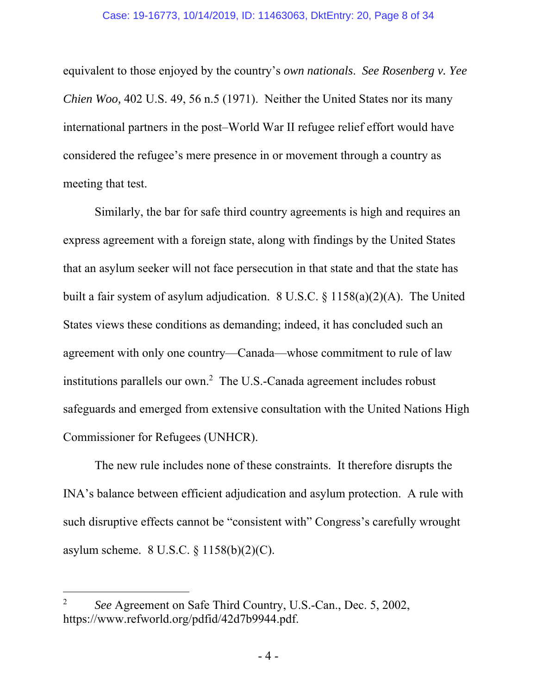equivalent to those enjoyed by the country's *own nationals*. *See Rosenberg v. Yee Chien Woo,* 402 U.S. 49, 56 n.5 (1971). Neither the United States nor its many international partners in the post–World War II refugee relief effort would have considered the refugee's mere presence in or movement through a country as meeting that test.

Similarly, the bar for safe third country agreements is high and requires an express agreement with a foreign state, along with findings by the United States that an asylum seeker will not face persecution in that state and that the state has built a fair system of asylum adjudication. 8 U.S.C. § 1158(a)(2)(A). The United States views these conditions as demanding; indeed, it has concluded such an agreement with only one country—Canada—whose commitment to rule of law institutions parallels our own.<sup>2</sup> The U.S.-Canada agreement includes robust safeguards and emerged from extensive consultation with the United Nations High Commissioner for Refugees (UNHCR).

The new rule includes none of these constraints. It therefore disrupts the INA's balance between efficient adjudication and asylum protection. A rule with such disruptive effects cannot be "consistent with" Congress's carefully wrought asylum scheme. 8 U.S.C. § 1158(b)(2)(C).

-

<sup>2</sup> *See* Agreement on Safe Third Country, U.S.-Can., Dec. 5, 2002, https://www.refworld.org/pdfid/42d7b9944.pdf.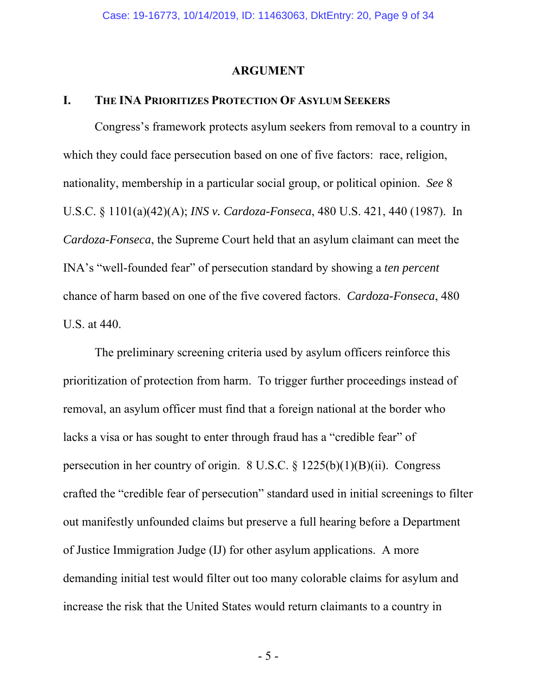#### **ARGUMENT**

#### **I. THE INA PRIORITIZES PROTECTION OF ASYLUM SEEKERS**

Congress's framework protects asylum seekers from removal to a country in which they could face persecution based on one of five factors: race, religion, nationality, membership in a particular social group, or political opinion. *See* 8 U.S.C. § 1101(a)(42)(A); *INS v. Cardoza-Fonseca*, 480 U.S. 421, 440 (1987). In *Cardoza-Fonseca*, the Supreme Court held that an asylum claimant can meet the INA's "well-founded fear" of persecution standard by showing a *ten percent*  chance of harm based on one of the five covered factors. *Cardoza-Fonseca*, 480 U.S. at 440.

 The preliminary screening criteria used by asylum officers reinforce this prioritization of protection from harm. To trigger further proceedings instead of removal, an asylum officer must find that a foreign national at the border who lacks a visa or has sought to enter through fraud has a "credible fear" of persecution in her country of origin. 8 U.S.C. § 1225(b)(1)(B)(ii). Congress crafted the "credible fear of persecution" standard used in initial screenings to filter out manifestly unfounded claims but preserve a full hearing before a Department of Justice Immigration Judge (IJ) for other asylum applications. A more demanding initial test would filter out too many colorable claims for asylum and increase the risk that the United States would return claimants to a country in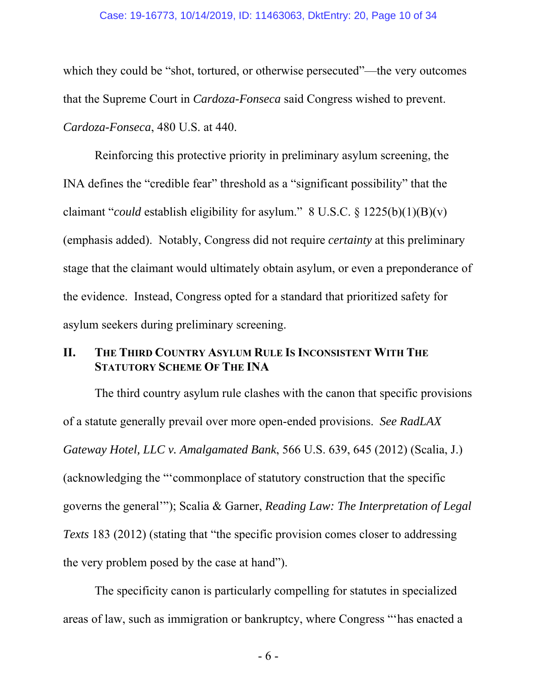#### Case: 19-16773, 10/14/2019, ID: 11463063, DktEntry: 20, Page 10 of 34

which they could be "shot, tortured, or otherwise persecuted"—the very outcomes that the Supreme Court in *Cardoza-Fonseca* said Congress wished to prevent. *Cardoza-Fonseca*, 480 U.S. at 440.

 Reinforcing this protective priority in preliminary asylum screening, the INA defines the "credible fear" threshold as a "significant possibility" that the claimant "*could* establish eligibility for asylum." 8 U.S.C. § 1225(b)(1)(B)(v) (emphasis added). Notably, Congress did not require *certainty* at this preliminary stage that the claimant would ultimately obtain asylum, or even a preponderance of the evidence. Instead, Congress opted for a standard that prioritized safety for asylum seekers during preliminary screening.

#### **II. THE THIRD COUNTRY ASYLUM RULE IS INCONSISTENT WITH THE STATUTORY SCHEME OF THE INA**

 The third country asylum rule clashes with the canon that specific provisions of a statute generally prevail over more open-ended provisions. *See RadLAX Gateway Hotel, LLC v. Amalgamated Bank*, 566 U.S. 639, 645 (2012) (Scalia, J.) (acknowledging the "'commonplace of statutory construction that the specific governs the general'"); Scalia & Garner, *Reading Law: The Interpretation of Legal Texts* 183 (2012) (stating that "the specific provision comes closer to addressing the very problem posed by the case at hand").

 The specificity canon is particularly compelling for statutes in specialized areas of law, such as immigration or bankruptcy, where Congress "'has enacted a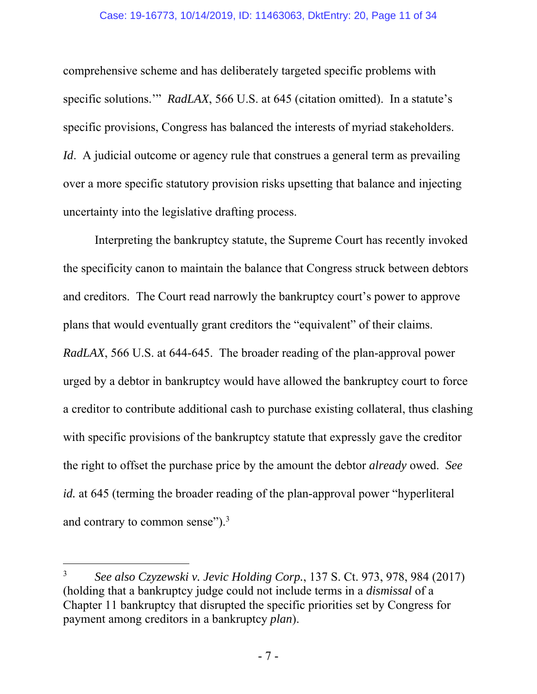#### Case: 19-16773, 10/14/2019, ID: 11463063, DktEntry: 20, Page 11 of 34

comprehensive scheme and has deliberately targeted specific problems with specific solutions.'" *RadLAX*, 566 U.S. at 645 (citation omitted). In a statute's specific provisions, Congress has balanced the interests of myriad stakeholders. *Id.* A judicial outcome or agency rule that construes a general term as prevailing over a more specific statutory provision risks upsetting that balance and injecting uncertainty into the legislative drafting process.

 Interpreting the bankruptcy statute, the Supreme Court has recently invoked the specificity canon to maintain the balance that Congress struck between debtors and creditors. The Court read narrowly the bankruptcy court's power to approve plans that would eventually grant creditors the "equivalent" of their claims. *RadLAX*, 566 U.S. at 644-645. The broader reading of the plan-approval power urged by a debtor in bankruptcy would have allowed the bankruptcy court to force a creditor to contribute additional cash to purchase existing collateral, thus clashing with specific provisions of the bankruptcy statute that expressly gave the creditor the right to offset the purchase price by the amount the debtor *already* owed. *See id.* at 645 (terming the broader reading of the plan-approval power "hyperliteral and contrary to common sense").3

-

<sup>3</sup> *See also Czyzewski v. Jevic Holding Corp.*, 137 S. Ct. 973, 978, 984 (2017) (holding that a bankruptcy judge could not include terms in a *dismissal* of a Chapter 11 bankruptcy that disrupted the specific priorities set by Congress for payment among creditors in a bankruptcy *plan*).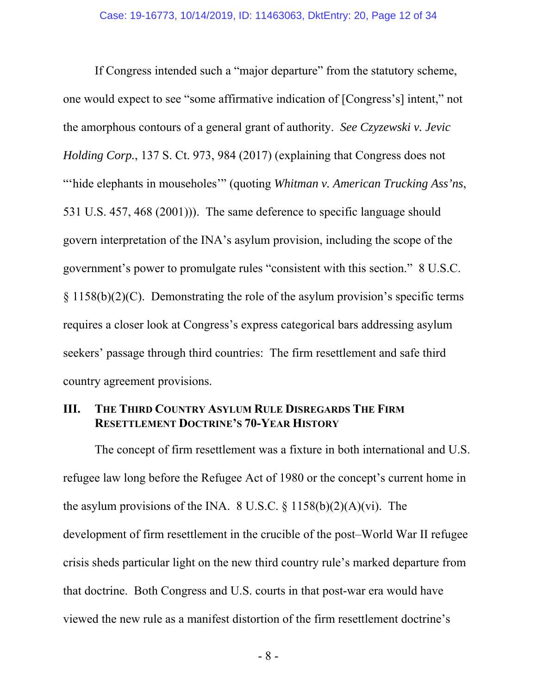If Congress intended such a "major departure" from the statutory scheme, one would expect to see "some affirmative indication of [Congress's] intent," not the amorphous contours of a general grant of authority. *See Czyzewski v. Jevic Holding Corp.*, 137 S. Ct. 973, 984 (2017) (explaining that Congress does not "'hide elephants in mouseholes'" (quoting *Whitman v. American Trucking Ass'ns*, 531 U.S. 457, 468 (2001))). The same deference to specific language should govern interpretation of the INA's asylum provision, including the scope of the government's power to promulgate rules "consistent with this section." 8 U.S.C.  $\S 1158(b)(2)(C)$ . Demonstrating the role of the asylum provision's specific terms requires a closer look at Congress's express categorical bars addressing asylum seekers' passage through third countries: The firm resettlement and safe third country agreement provisions.

#### **III. THE THIRD COUNTRY ASYLUM RULE DISREGARDS THE FIRM RESETTLEMENT DOCTRINE'S 70-YEAR HISTORY**

The concept of firm resettlement was a fixture in both international and U.S. refugee law long before the Refugee Act of 1980 or the concept's current home in the asylum provisions of the INA.  $8 \text{ U.S.C.} \& 1158(b)(2)(A)(vi)$ . The development of firm resettlement in the crucible of the post–World War II refugee crisis sheds particular light on the new third country rule's marked departure from that doctrine. Both Congress and U.S. courts in that post-war era would have viewed the new rule as a manifest distortion of the firm resettlement doctrine's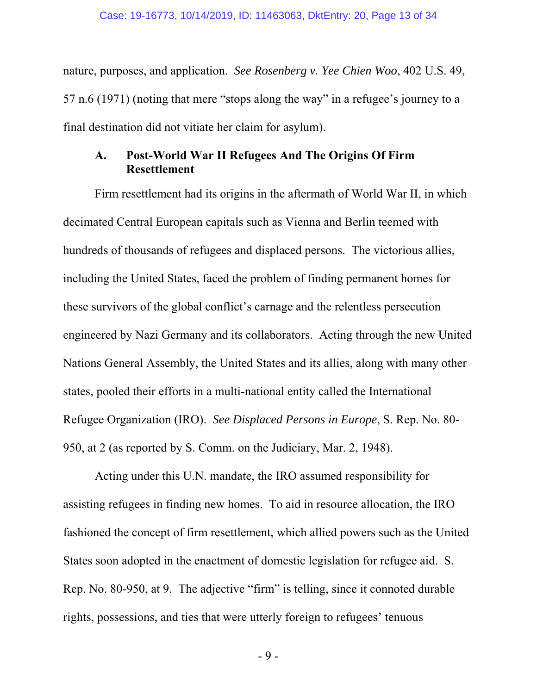nature, purposes, and application. *See Rosenberg v. Yee Chien Woo*, 402 U.S. 49, 57 n.6 (1971) (noting that mere "stops along the way" in a refugee's journey to a final destination did not vitiate her claim for asylum).

## **A. Post-World War II Refugees And The Origins Of Firm Resettlement**

Firm resettlement had its origins in the aftermath of World War II, in which decimated Central European capitals such as Vienna and Berlin teemed with hundreds of thousands of refugees and displaced persons. The victorious allies, including the United States, faced the problem of finding permanent homes for these survivors of the global conflict's carnage and the relentless persecution engineered by Nazi Germany and its collaborators. Acting through the new United Nations General Assembly, the United States and its allies, along with many other states, pooled their efforts in a multi-national entity called the International Refugee Organization (IRO). *See Displaced Persons in Europe*, S. Rep. No. 80- 950, at 2 (as reported by S. Comm. on the Judiciary, Mar. 2, 1948).

Acting under this U.N. mandate, the IRO assumed responsibility for assisting refugees in finding new homes. To aid in resource allocation, the IRO fashioned the concept of firm resettlement, which allied powers such as the United States soon adopted in the enactment of domestic legislation for refugee aid. S. Rep. No. 80-950, at 9. The adjective "firm" is telling, since it connoted durable rights, possessions, and ties that were utterly foreign to refugees' tenuous

- 9 -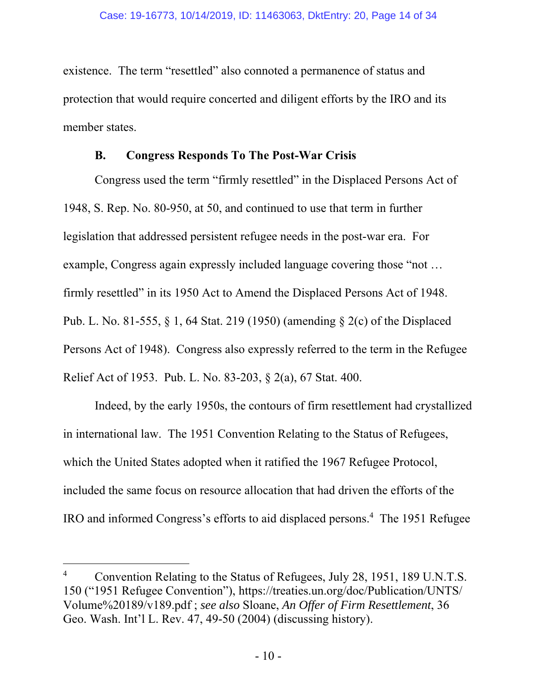existence. The term "resettled" also connoted a permanence of status and protection that would require concerted and diligent efforts by the IRO and its member states.

#### **B. Congress Responds To The Post-War Crisis**

Congress used the term "firmly resettled" in the Displaced Persons Act of 1948, S. Rep. No. 80-950, at 50, and continued to use that term in further legislation that addressed persistent refugee needs in the post-war era. For example, Congress again expressly included language covering those "not … firmly resettled" in its 1950 Act to Amend the Displaced Persons Act of 1948. Pub. L. No. 81-555, § 1, 64 Stat. 219 (1950) (amending § 2(c) of the Displaced Persons Act of 1948). Congress also expressly referred to the term in the Refugee Relief Act of 1953. Pub. L. No. 83-203, § 2(a), 67 Stat. 400.

Indeed, by the early 1950s, the contours of firm resettlement had crystallized in international law. The 1951 Convention Relating to the Status of Refugees, which the United States adopted when it ratified the 1967 Refugee Protocol, included the same focus on resource allocation that had driven the efforts of the IRO and informed Congress's efforts to aid displaced persons.<sup>4</sup> The 1951 Refugee

-

<sup>4</sup> Convention Relating to the Status of Refugees, July 28, 1951, 189 U.N.T.S. 150 ("1951 Refugee Convention"), https://treaties.un.org/doc/Publication/UNTS/ Volume%20189/v189.pdf ; *see also* Sloane, *An Offer of Firm Resettlement*, 36 Geo. Wash. Int'l L. Rev. 47, 49-50 (2004) (discussing history).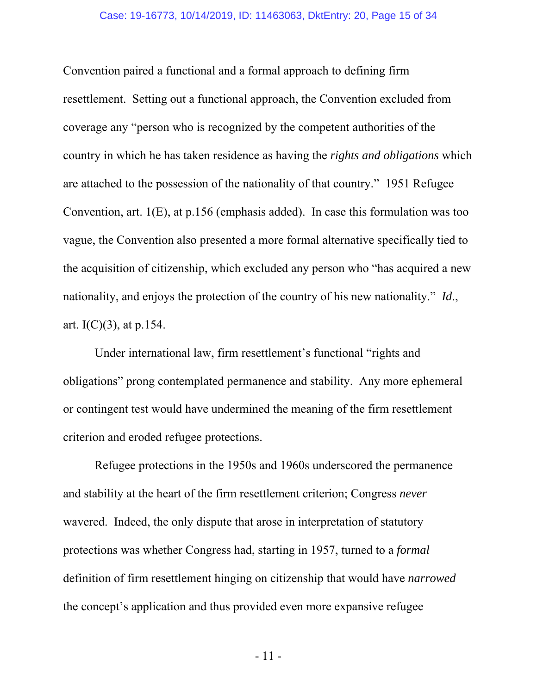Convention paired a functional and a formal approach to defining firm resettlement. Setting out a functional approach, the Convention excluded from coverage any "person who is recognized by the competent authorities of the country in which he has taken residence as having the *rights and obligations* which are attached to the possession of the nationality of that country." 1951 Refugee Convention, art. 1(E), at p.156 (emphasis added). In case this formulation was too vague, the Convention also presented a more formal alternative specifically tied to the acquisition of citizenship, which excluded any person who "has acquired a new nationality, and enjoys the protection of the country of his new nationality." *Id*., art.  $I(C)(3)$ , at p.154.

Under international law, firm resettlement's functional "rights and obligations" prong contemplated permanence and stability. Any more ephemeral or contingent test would have undermined the meaning of the firm resettlement criterion and eroded refugee protections.

Refugee protections in the 1950s and 1960s underscored the permanence and stability at the heart of the firm resettlement criterion; Congress *never*  wavered. Indeed, the only dispute that arose in interpretation of statutory protections was whether Congress had, starting in 1957, turned to a *formal*  definition of firm resettlement hinging on citizenship that would have *narrowed* the concept's application and thus provided even more expansive refugee

- 11 -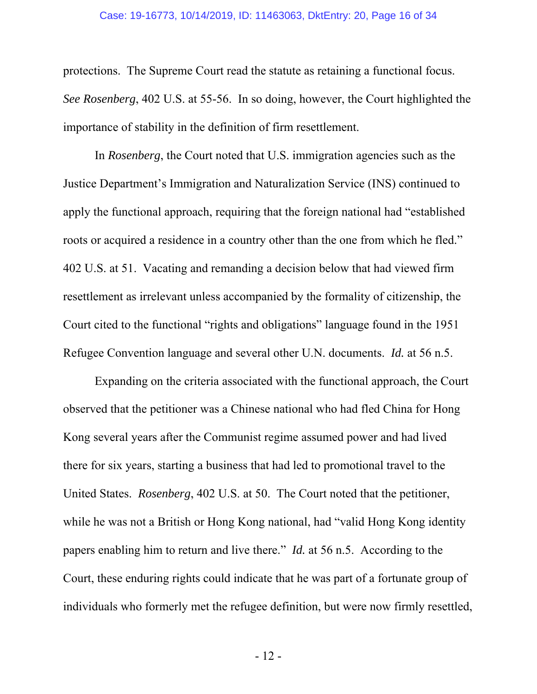#### Case: 19-16773, 10/14/2019, ID: 11463063, DktEntry: 20, Page 16 of 34

protections. The Supreme Court read the statute as retaining a functional focus. *See Rosenberg*, 402 U.S. at 55-56. In so doing, however, the Court highlighted the importance of stability in the definition of firm resettlement.

In *Rosenberg*, the Court noted that U.S. immigration agencies such as the Justice Department's Immigration and Naturalization Service (INS) continued to apply the functional approach, requiring that the foreign national had "established roots or acquired a residence in a country other than the one from which he fled." 402 U.S. at 51. Vacating and remanding a decision below that had viewed firm resettlement as irrelevant unless accompanied by the formality of citizenship, the Court cited to the functional "rights and obligations" language found in the 1951 Refugee Convention language and several other U.N. documents. *Id.* at 56 n.5.

Expanding on the criteria associated with the functional approach, the Court observed that the petitioner was a Chinese national who had fled China for Hong Kong several years after the Communist regime assumed power and had lived there for six years, starting a business that had led to promotional travel to the United States. *Rosenberg*, 402 U.S. at 50. The Court noted that the petitioner, while he was not a British or Hong Kong national, had "valid Hong Kong identity" papers enabling him to return and live there." *Id.* at 56 n.5. According to the Court, these enduring rights could indicate that he was part of a fortunate group of individuals who formerly met the refugee definition, but were now firmly resettled,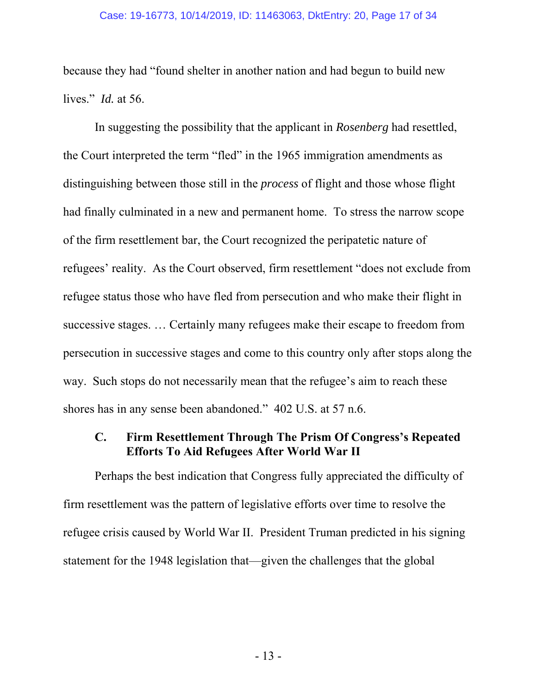because they had "found shelter in another nation and had begun to build new lives." *Id.* at 56.

In suggesting the possibility that the applicant in *Rosenberg* had resettled, the Court interpreted the term "fled" in the 1965 immigration amendments as distinguishing between those still in the *process* of flight and those whose flight had finally culminated in a new and permanent home. To stress the narrow scope of the firm resettlement bar, the Court recognized the peripatetic nature of refugees' reality. As the Court observed, firm resettlement "does not exclude from refugee status those who have fled from persecution and who make their flight in successive stages. … Certainly many refugees make their escape to freedom from persecution in successive stages and come to this country only after stops along the way. Such stops do not necessarily mean that the refugee's aim to reach these shores has in any sense been abandoned." 402 U.S. at 57 n.6.

#### **C. Firm Resettlement Through The Prism Of Congress's Repeated Efforts To Aid Refugees After World War II**

Perhaps the best indication that Congress fully appreciated the difficulty of firm resettlement was the pattern of legislative efforts over time to resolve the refugee crisis caused by World War II. President Truman predicted in his signing statement for the 1948 legislation that—given the challenges that the global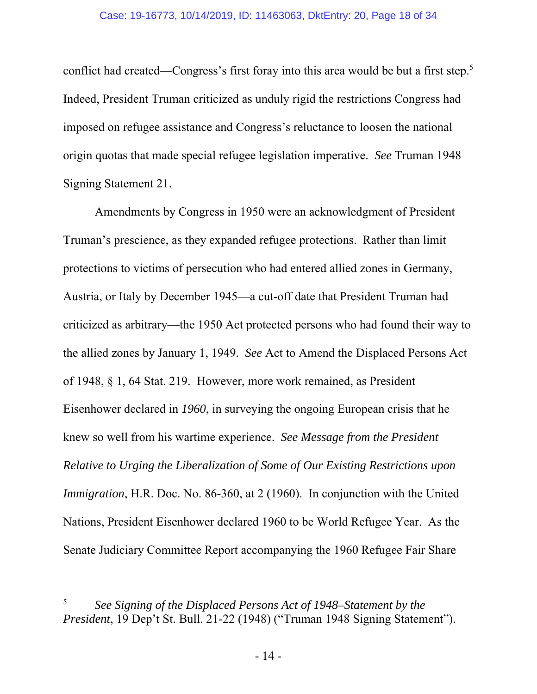conflict had created—Congress's first foray into this area would be but a first step.<sup>5</sup> Indeed, President Truman criticized as unduly rigid the restrictions Congress had imposed on refugee assistance and Congress's reluctance to loosen the national origin quotas that made special refugee legislation imperative. *See* Truman 1948 Signing Statement 21.

Amendments by Congress in 1950 were an acknowledgment of President Truman's prescience, as they expanded refugee protections. Rather than limit protections to victims of persecution who had entered allied zones in Germany, Austria, or Italy by December 1945—a cut-off date that President Truman had criticized as arbitrary—the 1950 Act protected persons who had found their way to the allied zones by January 1, 1949. *See* Act to Amend the Displaced Persons Act of 1948, § 1, 64 Stat. 219. However, more work remained, as President Eisenhower declared in *1960*, in surveying the ongoing European crisis that he knew so well from his wartime experience. *See Message from the President Relative to Urging the Liberalization of Some of Our Existing Restrictions upon Immigration*, H.R. Doc. No. 86-360, at 2 (1960). In conjunction with the United Nations, President Eisenhower declared 1960 to be World Refugee Year. As the Senate Judiciary Committee Report accompanying the 1960 Refugee Fair Share

 $\overline{a}$ 

<sup>5</sup> *See Signing of the Displaced Persons Act of 1948–Statement by the President*, 19 Dep't St. Bull. 21-22 (1948) ("Truman 1948 Signing Statement").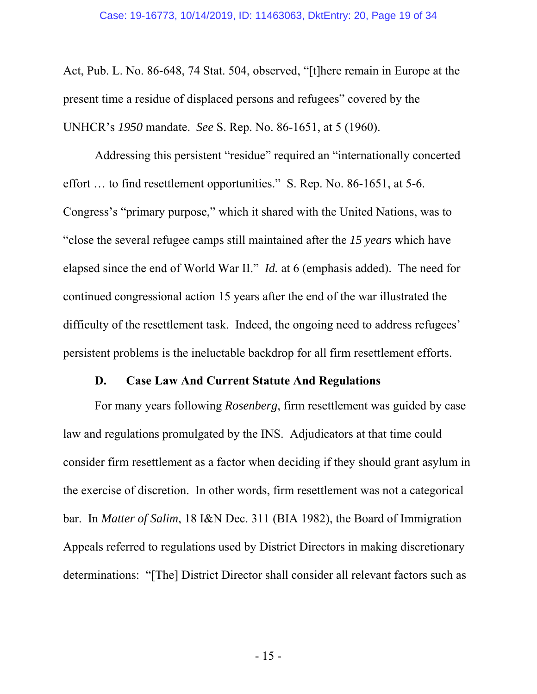Act, Pub. L. No. 86-648, 74 Stat. 504, observed, "[t]here remain in Europe at the present time a residue of displaced persons and refugees" covered by the UNHCR's *1950* mandate. *See* S. Rep. No. 86-1651, at 5 (1960).

Addressing this persistent "residue" required an "internationally concerted effort … to find resettlement opportunities." S. Rep. No. 86-1651, at 5-6. Congress's "primary purpose," which it shared with the United Nations, was to "close the several refugee camps still maintained after the *15 years* which have elapsed since the end of World War II." *Id.* at 6 (emphasis added). The need for continued congressional action 15 years after the end of the war illustrated the difficulty of the resettlement task. Indeed, the ongoing need to address refugees' persistent problems is the ineluctable backdrop for all firm resettlement efforts.

#### **D. Case Law And Current Statute And Regulations**

For many years following *Rosenberg*, firm resettlement was guided by case law and regulations promulgated by the INS. Adjudicators at that time could consider firm resettlement as a factor when deciding if they should grant asylum in the exercise of discretion. In other words, firm resettlement was not a categorical bar. In *Matter of Salim*, 18 I&N Dec. 311 (BIA 1982), the Board of Immigration Appeals referred to regulations used by District Directors in making discretionary determinations: "[The] District Director shall consider all relevant factors such as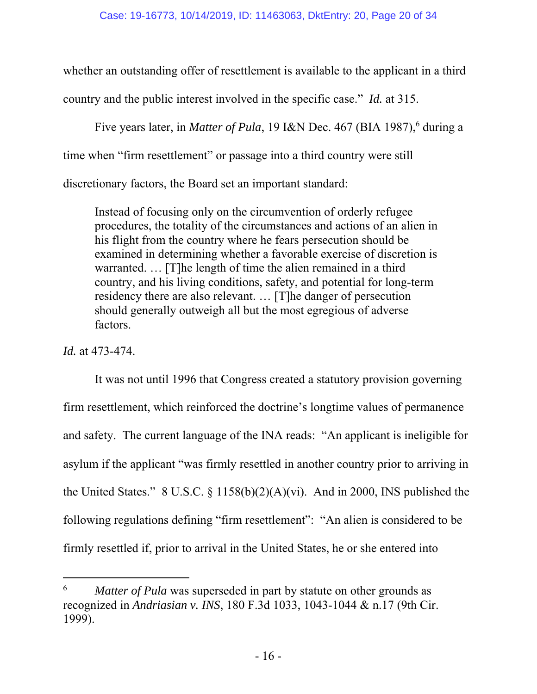whether an outstanding offer of resettlement is available to the applicant in a third country and the public interest involved in the specific case." *Id.* at 315.

Five years later, in *Matter of Pula*, 19 I&N Dec. 467 (BIA 1987),<sup>6</sup> during a time when "firm resettlement" or passage into a third country were still discretionary factors, the Board set an important standard:

Instead of focusing only on the circumvention of orderly refugee procedures, the totality of the circumstances and actions of an alien in his flight from the country where he fears persecution should be examined in determining whether a favorable exercise of discretion is warranted. … [T]he length of time the alien remained in a third country, and his living conditions, safety, and potential for long-term residency there are also relevant. … [T]he danger of persecution should generally outweigh all but the most egregious of adverse factors.

*Id.* at 473-474.

-

It was not until 1996 that Congress created a statutory provision governing firm resettlement, which reinforced the doctrine's longtime values of permanence and safety. The current language of the INA reads: "An applicant is ineligible for asylum if the applicant "was firmly resettled in another country prior to arriving in the United States." 8 U.S.C.  $\S$  1158(b)(2)(A)(vi). And in 2000, INS published the following regulations defining "firm resettlement": "An alien is considered to be firmly resettled if, prior to arrival in the United States, he or she entered into

<sup>6</sup> *Matter of Pula* was superseded in part by statute on other grounds as recognized in *Andriasian v. INS*, 180 F.3d 1033, 1043-1044 & n.17 (9th Cir. 1999).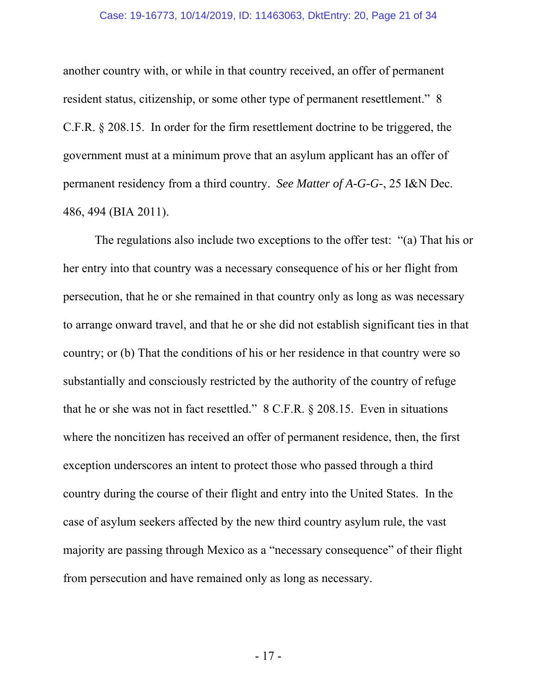#### Case: 19-16773, 10/14/2019, ID: 11463063, DktEntry: 20, Page 21 of 34

another country with, or while in that country received, an offer of permanent resident status, citizenship, or some other type of permanent resettlement." 8 C.F.R. § 208.15. In order for the firm resettlement doctrine to be triggered, the government must at a minimum prove that an asylum applicant has an offer of permanent residency from a third country. *See Matter of A-G-G-*, 25 I&N Dec. 486, 494 (BIA 2011).

The regulations also include two exceptions to the offer test: "(a) That his or her entry into that country was a necessary consequence of his or her flight from persecution, that he or she remained in that country only as long as was necessary to arrange onward travel, and that he or she did not establish significant ties in that country; or (b) That the conditions of his or her residence in that country were so substantially and consciously restricted by the authority of the country of refuge that he or she was not in fact resettled." 8 C.F.R. § 208.15. Even in situations where the noncitizen has received an offer of permanent residence, then, the first exception underscores an intent to protect those who passed through a third country during the course of their flight and entry into the United States. In the case of asylum seekers affected by the new third country asylum rule, the vast majority are passing through Mexico as a "necessary consequence" of their flight from persecution and have remained only as long as necessary.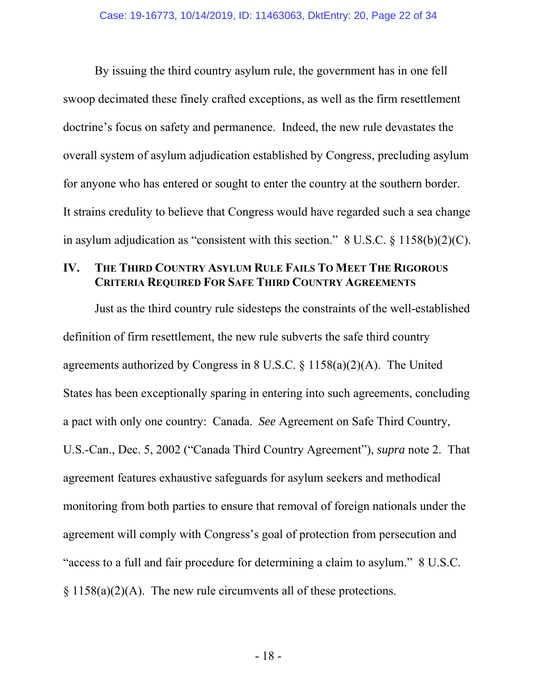By issuing the third country asylum rule, the government has in one fell swoop decimated these finely crafted exceptions, as well as the firm resettlement doctrine's focus on safety and permanence. Indeed, the new rule devastates the overall system of asylum adjudication established by Congress, precluding asylum for anyone who has entered or sought to enter the country at the southern border. It strains credulity to believe that Congress would have regarded such a sea change in asylum adjudication as "consistent with this section."  $8 \text{ U.S.C.} \$   $1158(b)(2)(C)$ .

#### **IV. THE THIRD COUNTRY ASYLUM RULE FAILS TO MEET THE RIGOROUS CRITERIA REQUIRED FOR SAFE THIRD COUNTRY AGREEMENTS**

Just as the third country rule sidesteps the constraints of the well-established definition of firm resettlement, the new rule subverts the safe third country agreements authorized by Congress in 8 U.S.C. § 1158(a)(2)(A). The United States has been exceptionally sparing in entering into such agreements, concluding a pact with only one country: Canada. *See* Agreement on Safe Third Country, U.S.-Can., Dec. 5, 2002 ("Canada Third Country Agreement"), *supra* note 2. That agreement features exhaustive safeguards for asylum seekers and methodical monitoring from both parties to ensure that removal of foreign nationals under the agreement will comply with Congress's goal of protection from persecution and "access to a full and fair procedure for determining a claim to asylum." 8 U.S.C.  $\S 1158(a)(2)(A)$ . The new rule circumvents all of these protections.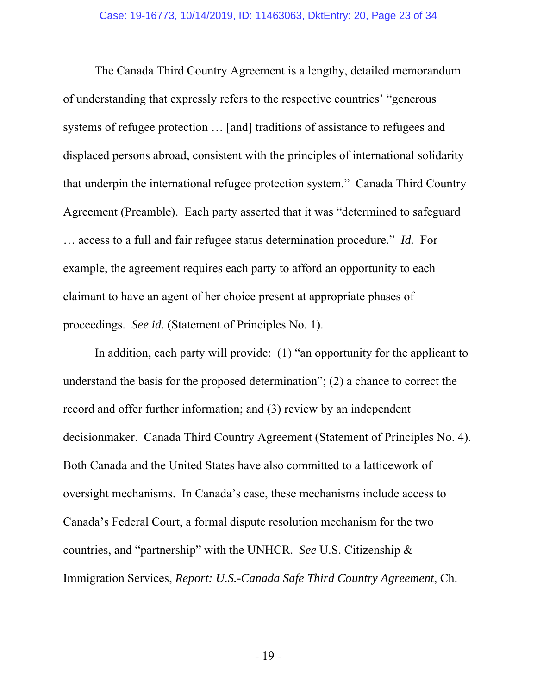The Canada Third Country Agreement is a lengthy, detailed memorandum of understanding that expressly refers to the respective countries' "generous systems of refugee protection … [and] traditions of assistance to refugees and displaced persons abroad, consistent with the principles of international solidarity that underpin the international refugee protection system." Canada Third Country Agreement (Preamble). Each party asserted that it was "determined to safeguard … access to a full and fair refugee status determination procedure." *Id.* For example, the agreement requires each party to afford an opportunity to each claimant to have an agent of her choice present at appropriate phases of proceedings. *See id.* (Statement of Principles No. 1).

In addition, each party will provide: (1) "an opportunity for the applicant to understand the basis for the proposed determination"; (2) a chance to correct the record and offer further information; and (3) review by an independent decisionmaker. Canada Third Country Agreement (Statement of Principles No. 4). Both Canada and the United States have also committed to a latticework of oversight mechanisms. In Canada's case, these mechanisms include access to Canada's Federal Court, a formal dispute resolution mechanism for the two countries, and "partnership" with the UNHCR. *See* U.S. Citizenship & Immigration Services, *Report: U.S.-Canada Safe Third Country Agreement*, Ch.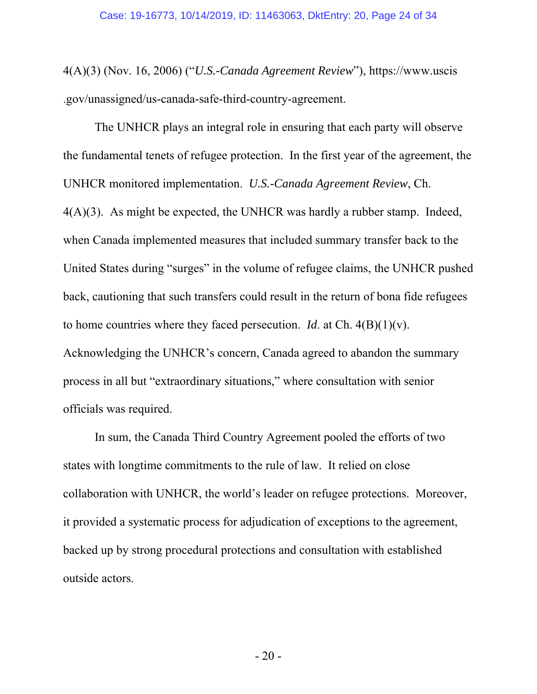4(A)(3) (Nov. 16, 2006) ("*U.S.-Canada Agreement Review*"), https://www.uscis .gov/unassigned/us-canada-safe-third-country-agreement.

The UNHCR plays an integral role in ensuring that each party will observe the fundamental tenets of refugee protection. In the first year of the agreement, the UNHCR monitored implementation. *U.S.-Canada Agreement Review*, Ch. 4(A)(3). As might be expected, the UNHCR was hardly a rubber stamp. Indeed, when Canada implemented measures that included summary transfer back to the United States during "surges" in the volume of refugee claims, the UNHCR pushed back, cautioning that such transfers could result in the return of bona fide refugees to home countries where they faced persecution. *Id*. at Ch. 4(B)(1)(v). Acknowledging the UNHCR's concern, Canada agreed to abandon the summary process in all but "extraordinary situations," where consultation with senior officials was required.

In sum, the Canada Third Country Agreement pooled the efforts of two states with longtime commitments to the rule of law. It relied on close collaboration with UNHCR, the world's leader on refugee protections. Moreover, it provided a systematic process for adjudication of exceptions to the agreement, backed up by strong procedural protections and consultation with established outside actors.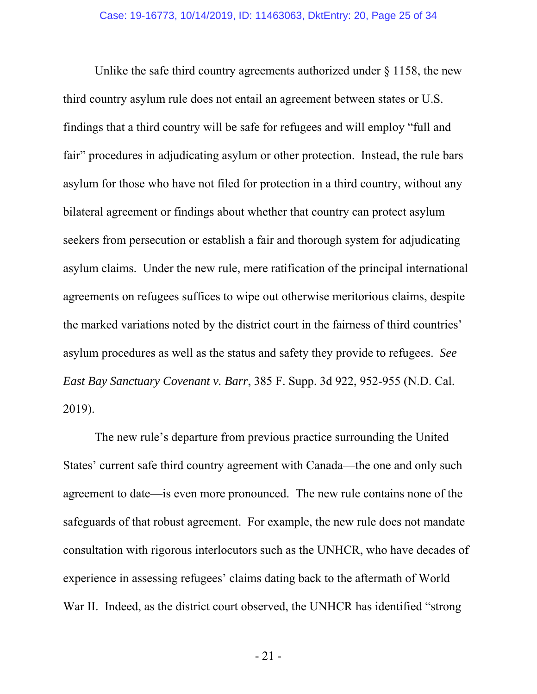Unlike the safe third country agreements authorized under  $\S 1158$ , the new third country asylum rule does not entail an agreement between states or U.S. findings that a third country will be safe for refugees and will employ "full and fair" procedures in adjudicating asylum or other protection. Instead, the rule bars asylum for those who have not filed for protection in a third country, without any bilateral agreement or findings about whether that country can protect asylum seekers from persecution or establish a fair and thorough system for adjudicating asylum claims. Under the new rule, mere ratification of the principal international agreements on refugees suffices to wipe out otherwise meritorious claims, despite the marked variations noted by the district court in the fairness of third countries' asylum procedures as well as the status and safety they provide to refugees. *See East Bay Sanctuary Covenant v. Barr*, 385 F. Supp. 3d 922, 952-955 (N.D. Cal. 2019).

The new rule's departure from previous practice surrounding the United States' current safe third country agreement with Canada—the one and only such agreement to date—is even more pronounced. The new rule contains none of the safeguards of that robust agreement. For example, the new rule does not mandate consultation with rigorous interlocutors such as the UNHCR, who have decades of experience in assessing refugees' claims dating back to the aftermath of World War II. Indeed, as the district court observed, the UNHCR has identified "strong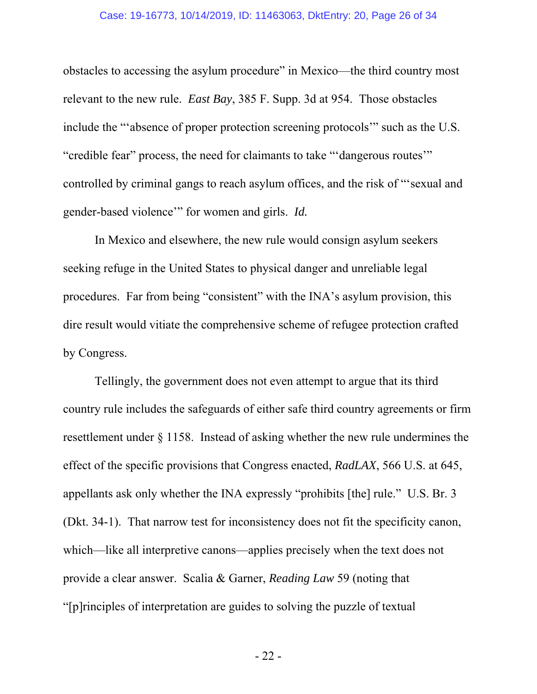#### Case: 19-16773, 10/14/2019, ID: 11463063, DktEntry: 20, Page 26 of 34

obstacles to accessing the asylum procedure" in Mexico—the third country most relevant to the new rule. *East Bay*, 385 F. Supp. 3d at 954. Those obstacles include the "'absence of proper protection screening protocols'" such as the U.S. "credible fear" process, the need for claimants to take "'dangerous routes'" controlled by criminal gangs to reach asylum offices, and the risk of "'sexual and gender-based violence'" for women and girls. *Id.* 

In Mexico and elsewhere, the new rule would consign asylum seekers seeking refuge in the United States to physical danger and unreliable legal procedures. Far from being "consistent" with the INA's asylum provision, this dire result would vitiate the comprehensive scheme of refugee protection crafted by Congress.

Tellingly, the government does not even attempt to argue that its third country rule includes the safeguards of either safe third country agreements or firm resettlement under § 1158. Instead of asking whether the new rule undermines the effect of the specific provisions that Congress enacted, *RadLAX*, 566 U.S. at 645, appellants ask only whether the INA expressly "prohibits [the] rule." U.S. Br. 3 (Dkt. 34-1). That narrow test for inconsistency does not fit the specificity canon, which—like all interpretive canons—applies precisely when the text does not provide a clear answer. Scalia & Garner, *Reading Law* 59 (noting that "[p]rinciples of interpretation are guides to solving the puzzle of textual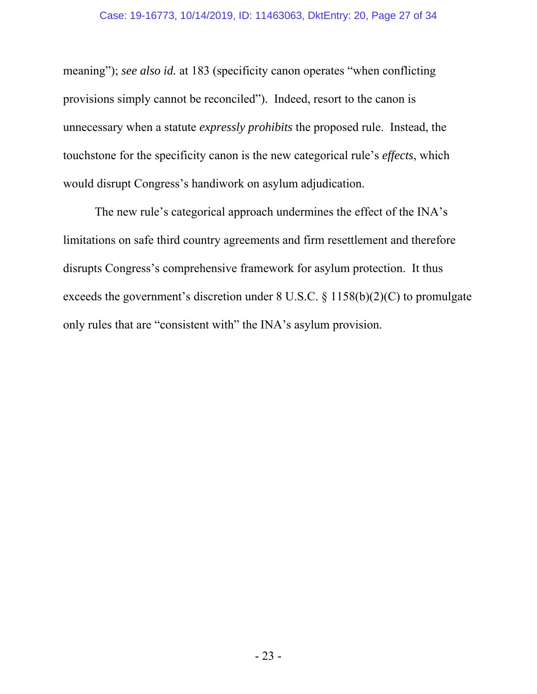meaning"); *see also id.* at 183 (specificity canon operates "when conflicting provisions simply cannot be reconciled"). Indeed, resort to the canon is unnecessary when a statute *expressly prohibits* the proposed rule. Instead, the touchstone for the specificity canon is the new categorical rule's *effects*, which would disrupt Congress's handiwork on asylum adjudication.

The new rule's categorical approach undermines the effect of the INA's limitations on safe third country agreements and firm resettlement and therefore disrupts Congress's comprehensive framework for asylum protection. It thus exceeds the government's discretion under 8 U.S.C. § 1158(b)(2)(C) to promulgate only rules that are "consistent with" the INA's asylum provision.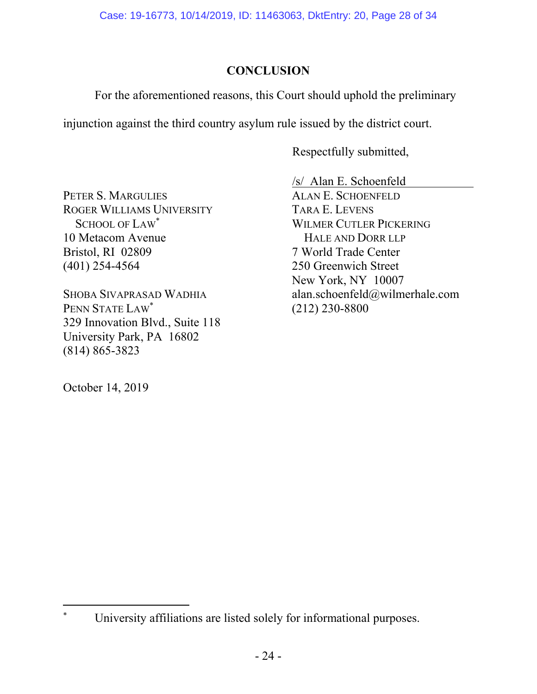Case: 19-16773, 10/14/2019, ID: 11463063, DktEntry: 20, Page 28 of 34

## **CONCLUSION**

For the aforementioned reasons, this Court should uphold the preliminary

injunction against the third country asylum rule issued by the district court.

Respectfully submitted,

PETER S. MARGULIES ROGER WILLIAMS UNIVERSITY SCHOOL OF LAW\* 10 Metacom Avenue Bristol, RI 02809 (401) 254-4564

SHOBA SIVAPRASAD WADHIA PENN STATE LAW\* 329 Innovation Blvd., Suite 118 University Park, PA 16802 (814) 865-3823

October 14, 2019

/s/ Alan E. Schoenfeld ALAN E. SCHOENFELD TARA E. LEVENS WILMER CUTLER PICKERING HALE AND DORR LLP 7 World Trade Center 250 Greenwich Street New York, NY 10007 alan.schoenfeld@wilmerhale.com (212) 230-8800

 $\overline{a}$ \* University affiliations are listed solely for informational purposes.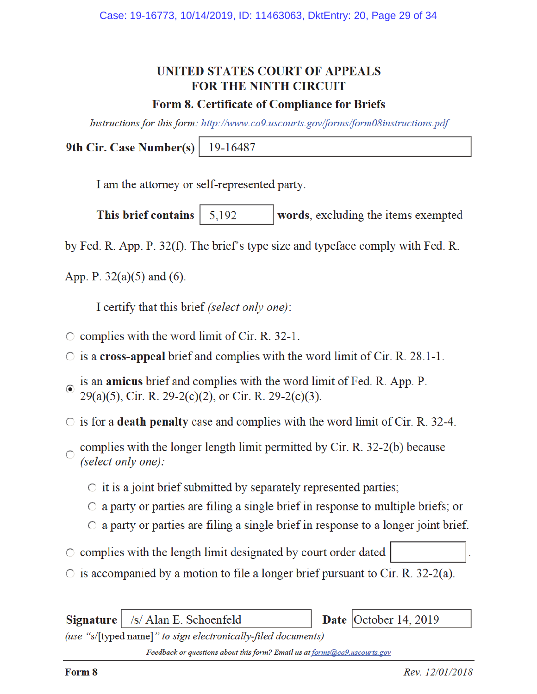## UNITED STATES COURT OF APPEALS **FOR THE NINTH CIRCUIT**

#### Form 8. Certificate of Compliance for Briefs

Instructions for this form: http://www.ca9.uscourts.gov/forms/form08instructions.pdf

9th Cir. Case Number(s) 19-16487

I am the attorney or self-represented party.

This brief contains words, excluding the items exempted 5,192

by Fed. R. App. P. 32(f). The brief's type size and typeface comply with Fed. R.

App. P.  $32(a)(5)$  and (6).

I certify that this brief (select only one):

- $\circ$  complies with the word limit of Cir. R. 32-1.
- $\circ$  is a cross-appeal brief and complies with the word limit of Cir. R. 28.1-1.
- is an amicus brief and complies with the word limit of Fed. R. App. P.  $29(a)(5)$ , Cir. R. 29-2(c)(2), or Cir. R. 29-2(c)(3).
- $\circ$  is for a **death penalty** case and complies with the word limit of Cir. R. 32-4.
- complies with the longer length limit permitted by Cir. R. 32-2(b) because  $\circ$ (select only one):
	- $\circ$  it is a joint brief submitted by separately represented parties;
	- $\circ$  a party or parties are filing a single brief in response to multiple briefs; or
	- $\circ$  a party or parties are filing a single brief in response to a longer joint brief.
- complies with the length limit designated by court order dated
- $\circ$  is accompanied by a motion to file a longer brief pursuant to Cir. R. 32-2(a).

/s/ Alan E. Schoenfeld **Signature** 

Date October 14, 2019

(use "s/[typed name]" to sign electronically-filed documents)

Feedback or questions about this form? Email us at forms@ca9.uscourts.gov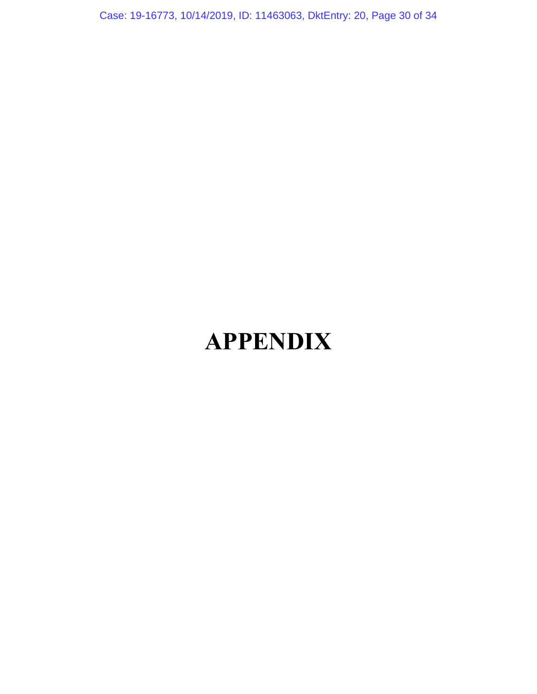Case: 19-16773, 10/14/2019, ID: 11463063, DktEntry: 20, Page 30 of 34

# **APPENDIX**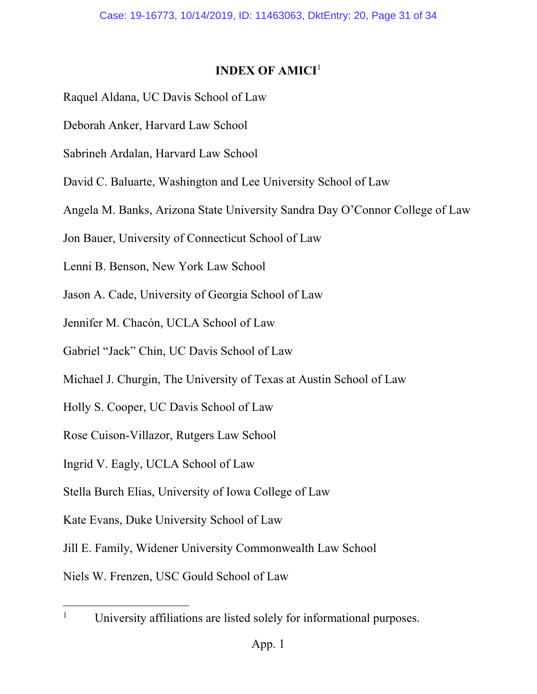## **INDEX OF AMICI**<sup>1</sup>

- Raquel Aldana, UC Davis School of Law
- Deborah Anker, Harvard Law School
- Sabrineh Ardalan, Harvard Law School
- David C. Baluarte, Washington and Lee University School of Law
- Angela M. Banks, Arizona State University Sandra Day O'Connor College of Law
- Jon Bauer, University of Connecticut School of Law
- Lenni B. Benson, New York Law School
- Jason A. Cade, University of Georgia School of Law
- Jennifer M. Chacón, UCLA School of Law
- Gabriel "Jack" Chin, UC Davis School of Law
- Michael J. Churgin, The University of Texas at Austin School of Law
- Holly S. Cooper, UC Davis School of Law
- Rose Cuison-Villazor, Rutgers Law School
- Ingrid V. Eagly, UCLA School of Law
- Stella Burch Elias, University of Iowa College of Law
- Kate Evans, Duke University School of Law
- Jill E. Family, Widener University Commonwealth Law School

Niels W. Frenzen, USC Gould School of Law

 $\overline{a}$ 

<sup>1</sup> University affiliations are listed solely for informational purposes.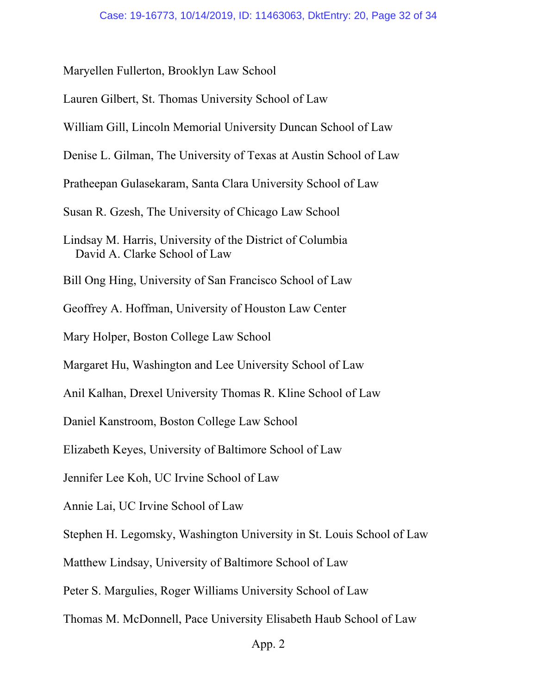Maryellen Fullerton, Brooklyn Law School Lauren Gilbert, St. Thomas University School of Law William Gill, Lincoln Memorial University Duncan School of Law Denise L. Gilman, The University of Texas at Austin School of Law Pratheepan Gulasekaram, Santa Clara University School of Law Susan R. Gzesh, The University of Chicago Law School Lindsay M. Harris, University of the District of Columbia David A. Clarke School of Law Bill Ong Hing, University of San Francisco School of Law Geoffrey A. Hoffman, University of Houston Law Center Mary Holper, Boston College Law School Margaret Hu, Washington and Lee University School of Law Anil Kalhan, Drexel University Thomas R. Kline School of Law Daniel Kanstroom, Boston College Law School Elizabeth Keyes, University of Baltimore School of Law Jennifer Lee Koh, UC Irvine School of Law Annie Lai, UC Irvine School of Law Stephen H. Legomsky, Washington University in St. Louis School of Law Matthew Lindsay, University of Baltimore School of Law Peter S. Margulies, Roger Williams University School of Law Thomas M. McDonnell, Pace University Elisabeth Haub School of Law

#### App. 2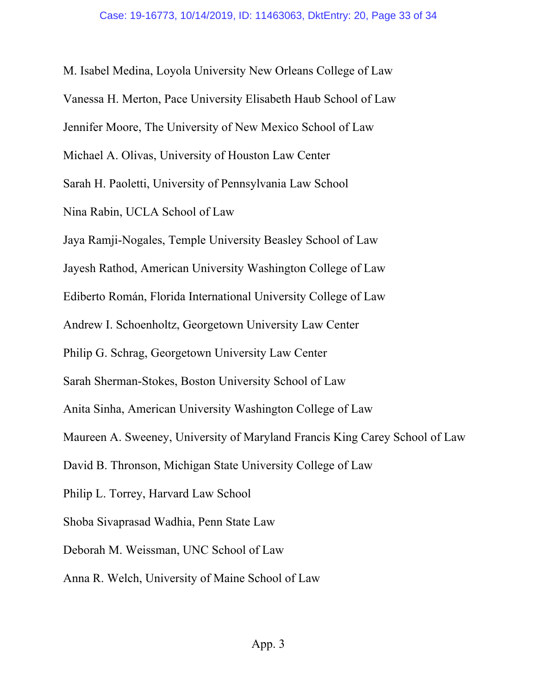M. Isabel Medina, Loyola University New Orleans College of Law Vanessa H. Merton, Pace University Elisabeth Haub School of Law Jennifer Moore, The University of New Mexico School of Law Michael A. Olivas, University of Houston Law Center Sarah H. Paoletti, University of Pennsylvania Law School Nina Rabin, UCLA School of Law Jaya Ramji-Nogales, Temple University Beasley School of Law Jayesh Rathod, American University Washington College of Law Ediberto Román, Florida International University College of Law Andrew I. Schoenholtz, Georgetown University Law Center Philip G. Schrag, Georgetown University Law Center Sarah Sherman-Stokes, Boston University School of Law Anita Sinha, American University Washington College of Law Maureen A. Sweeney, University of Maryland Francis King Carey School of Law David B. Thronson, Michigan State University College of Law Philip L. Torrey, Harvard Law School Shoba Sivaprasad Wadhia, Penn State Law Deborah M. Weissman, UNC School of Law Anna R. Welch, University of Maine School of Law